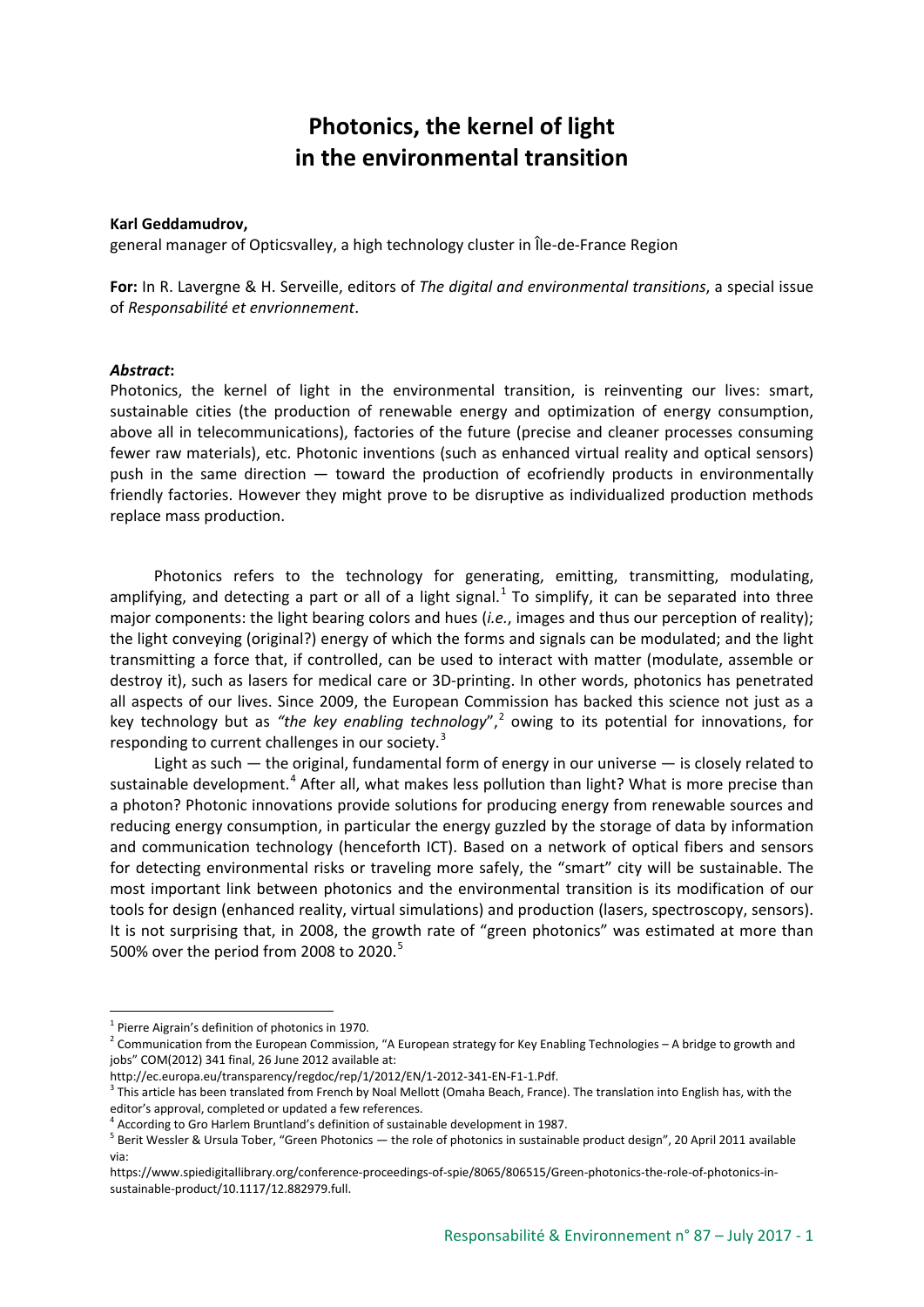## **Photonics, the kernel of light in the environmental transition**

## **Karl Geddamudrov,**

general manager of Opticsvalley, a high technology cluster in Île-de-France Region

**For:** In R. Lavergne & H. Serveille, editors of *The digital and environmental transitions*, a special issue of *Responsabilité et envrionnement*.

## *Abstract***:**

Photonics, the kernel of light in the environmental transition, is reinventing our lives: smart, sustainable cities (the production of renewable energy and optimization of energy consumption, above all in telecommunications), factories of the future (precise and cleaner processes consuming fewer raw materials), etc. Photonic inventions (such as enhanced virtual reality and optical sensors) push in the same direction — toward the production of ecofriendly products in environmentally friendly factories. However they might prove to be disruptive as individualized production methods replace mass production.

Photonics refers to the technology for generating, emitting, transmitting, modulating, amplifying, and detecting a part or all of a light signal. $<sup>1</sup>$  $<sup>1</sup>$  $<sup>1</sup>$  To simplify, it can be separated into three</sup> major components: the light bearing colors and hues (*i.e.*, images and thus our perception of reality); the light conveying (original?) energy of which the forms and signals can be modulated; and the light transmitting a force that, if controlled, can be used to interact with matter (modulate, assemble or destroy it), such as lasers for medical care or 3D-printing. In other words, photonics has penetrated all aspects of our lives. Since 2009, the European Commission has backed this science not just as a key technology but as "the key enabling technology",<sup>[2](#page-0-1)</sup> owing to its potential for innovations, for responding to current challenges in our society.<sup>[3](#page-0-2)</sup>

Light as such — the original, fundamental form of energy in our universe — is closely related to sustainable development.<sup>[4](#page-0-3)</sup> After all, what makes less pollution than light? What is more precise than a photon? Photonic innovations provide solutions for producing energy from renewable sources and reducing energy consumption, in particular the energy guzzled by the storage of data by information and communication technology (henceforth ICT). Based on a network of optical fibers and sensors for detecting environmental risks or traveling more safely, the "smart" city will be sustainable. The most important link between photonics and the environmental transition is its modification of our tools for design (enhanced reality, virtual simulations) and production (lasers, spectroscopy, sensors). It is not surprising that, in 2008, the growth rate of "green photonics" was estimated at more than [5](#page-0-4)00% over the period from 2008 to 2020. $5$ 

<span id="page-0-0"></span><sup>&</sup>lt;sup>1</sup> Pierre Aigrain's definition of photonics in 1970.

<span id="page-0-1"></span><sup>&</sup>lt;sup>2</sup> Communication from the European Commission, "A European strategy for Key Enabling Technologies – A bridge to growth and jobs" COM(2012) 341 final, 26 June 2012 available at:

http://ec.europa.eu/transparency/regdoc/rep/1/2012/EN/1-2012-341-EN-F1-1.Pdf.

<span id="page-0-2"></span><sup>&</sup>lt;sup>3</sup> This article has been translated from French by Noal Mellott (Omaha Beach, France). The translation into English has, with the editor's approval, completed or updated a few references.

 $4$  According to Gro Harlem Bruntland's definition of sustainable development in 1987.

<span id="page-0-4"></span><span id="page-0-3"></span><sup>&</sup>lt;sup>5</sup> Berit Wessler & Ursula Tober, "Green Photonics — the role of photonics in sustainable product design", 20 April 2011 available via:

https://www.spiedigitallibrary.org/conference-proceedings-of-spie/8065/806515/Green-photonics-the-role-of-photonics-insustainable-product/10.1117/12.882979.full.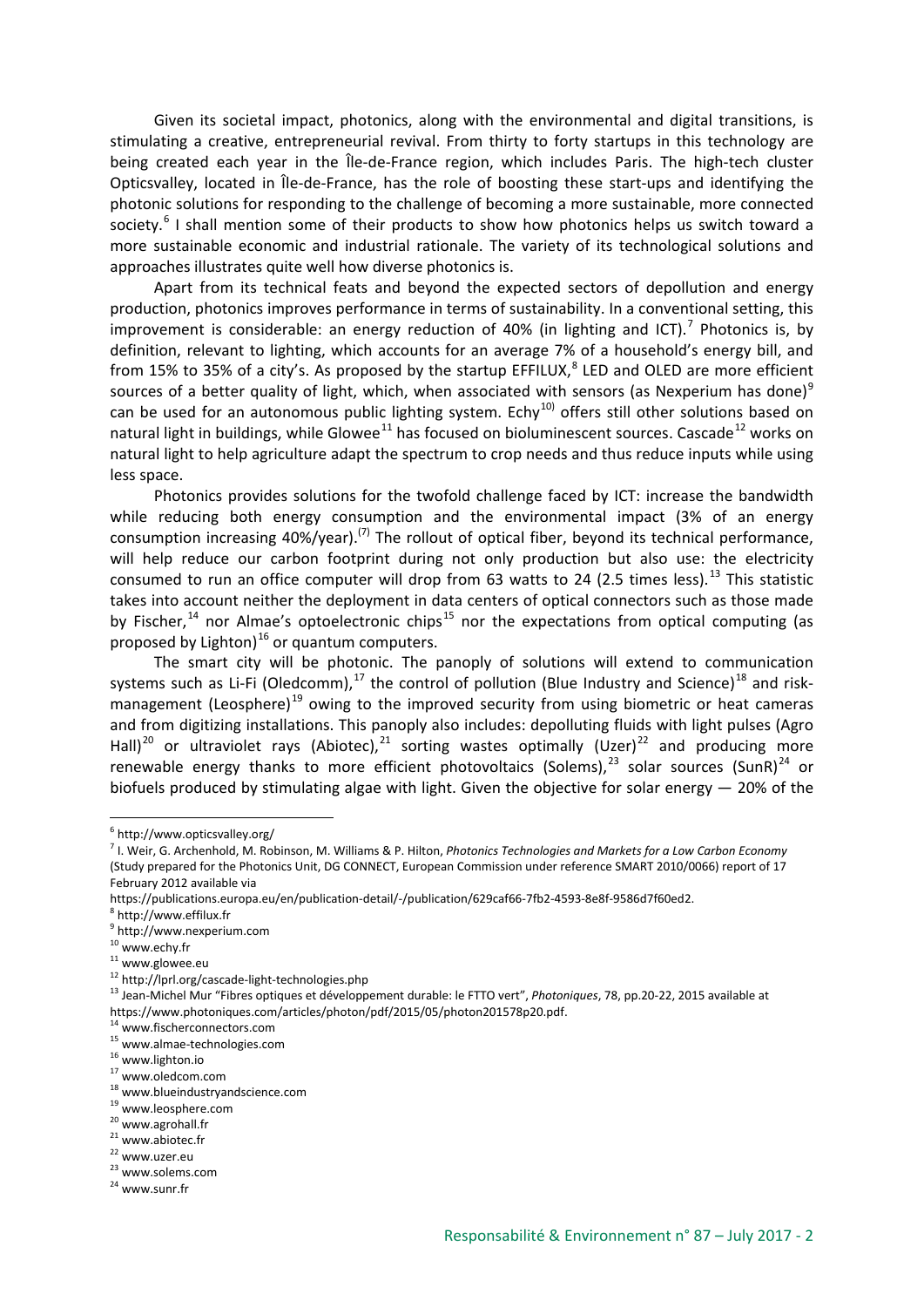Given its societal impact, photonics, along with the environmental and digital transitions, is stimulating a creative, entrepreneurial revival. From thirty to forty startups in this technology are being created each year in the Île-de-France region, which includes Paris. The high-tech cluster Opticsvalley, located in Île-de-France, has the role of boosting these start-ups and identifying the photonic solutions for responding to the challenge of becoming a more sustainable, more connected society.<sup>[6](#page-1-0)</sup> I shall mention some of their products to show how photonics helps us switch toward a more sustainable economic and industrial rationale. The variety of its technological solutions and approaches illustrates quite well how diverse photonics is.

Apart from its technical feats and beyond the expected sectors of depollution and energy production, photonics improves performance in terms of sustainability. In a conventional setting, this improvement is considerable: an energy reduction of 40% (in lighting and ICT).<sup>[7](#page-1-1)</sup> Photonics is, by definition, relevant to lighting, which accounts for an average 7% of a household's energy bill, and from 15% to 35% of a city's. As proposed by the startup EFFILUX, $^8$  $^8$  LED and OLED are more efficient sources of a better quality of light, which, when associated with sensors (as Nexperium has done)<sup>[9](#page-1-3)</sup> can be used for an autonomous public lighting system. Echy<sup>[10\)](#page-1-4)</sup> offers still other solutions based on natural light in buildings, while Glowee<sup>[11](#page-1-5)</sup> has focused on bioluminescent sources. Cascade<sup>[12](#page-1-6)</sup> works on natural light to help agriculture adapt the spectrum to crop needs and thus reduce inputs while using less space.

Photonics provides solutions for the twofold challenge faced by ICT: increase the bandwidth while reducing both energy consumption and the environmental impact (3% of an energy consumption increasing  $40\%/year)$ .<sup>(7)</sup> The rollout of optical fiber, beyond its technical performance, will help reduce our carbon footprint during not only production but also use: the electricity consumed to run an office computer will drop from 63 watts to 24 (2.5 times less).<sup>[13](#page-1-7)</sup> This statistic takes into account neither the deployment in data centers of optical connectors such as those made by Fischer,  $14$  nor Almae's optoelectronic chips<sup>[15](#page-1-9)</sup> nor the expectations from optical computing (as proposed by Lighton) $16$  or quantum computers.

The smart city will be photonic. The panoply of solutions will extend to communication systems such as Li-Fi (Oledcomm), $^{17}$  $^{17}$  $^{17}$  the control of pollution (Blue Industry and Science) $^{18}$  $^{18}$  $^{18}$  and risk-management (Leosphere)<sup>[19](#page-1-13)</sup> owing to the improved security from using biometric or heat cameras and from digitizing installations. This panoply also includes: depolluting fluids with light pulses (Agro Hall)<sup>[20](#page-1-14)</sup> or ultraviolet rays (Abiotec),  $21$  sorting wastes optimally (Uzer)<sup>[22](#page-1-16)</sup> and producing more renewable energy thanks to more efficient photovoltaics (Solems),<sup>[23](#page-1-17)</sup> solar sources (SunR)<sup>[24](#page-1-18)</sup> or biofuels produced by stimulating algae with light. Given the objective for solar energy — 20% of the

- <span id="page-1-3"></span><span id="page-1-2"></span><sup>9</sup> http://www.nexperium.com
- <span id="page-1-4"></span><sup>10</sup> www.echy.fr

<span id="page-1-0"></span><sup>6</sup> http://www.opticsvalley.org/

<span id="page-1-1"></span><sup>7</sup> I. Weir, G. Archenhold, M. Robinson, M. Williams & P. Hilton, *Photonics Technologies and Markets for a Low Carbon Economy* (Study prepared for the Photonics Unit, DG CONNECT, European Commission under reference SMART 2010/0066) report of 17 February 2012 available via

https://publications.europa.eu/en/publication-detail/-/publication/629caf66-7fb2-4593-8e8f-9586d7f60ed2.

<sup>8</sup> http://www.effilux.fr

<span id="page-1-5"></span><sup>11</sup> www.glowee.eu<br>
<sup>11</sup> www.glowee.eu<br>
<sup>12</sup> http://lprl.org/cascade-light-technologies.php

<span id="page-1-7"></span><span id="page-1-6"></span><sup>&</sup>lt;sup>13</sup> Jean-Michel Mur "Fibres optiques et développement durable: le FTTO vert", *Photoniques*, 78, pp.20-22, 2015 available at https://www.photoniques.com/articles/photon/pdf/2015/05/photon201578p20.pdf.<br><sup>14</sup> www.fischerconnectors.com

<span id="page-1-9"></span><span id="page-1-8"></span><sup>15</sup> www.almae-technologies.com

<span id="page-1-10"></span><sup>16</sup> www.lighton.io

<span id="page-1-11"></span><sup>17</sup> www.oledcom.com

<span id="page-1-12"></span><sup>18</sup> www.blueindustryandscience.com

<span id="page-1-13"></span><sup>19</sup> www.leosphere.com

<sup>20</sup> www.agrohall.fr

<span id="page-1-15"></span><span id="page-1-14"></span><sup>21</sup> www.abiotec.fr

<span id="page-1-16"></span><sup>22</sup> www.uzer.eu

<span id="page-1-17"></span><sup>23</sup> www.solems.com

<span id="page-1-18"></span><sup>24</sup> www.sunr.fr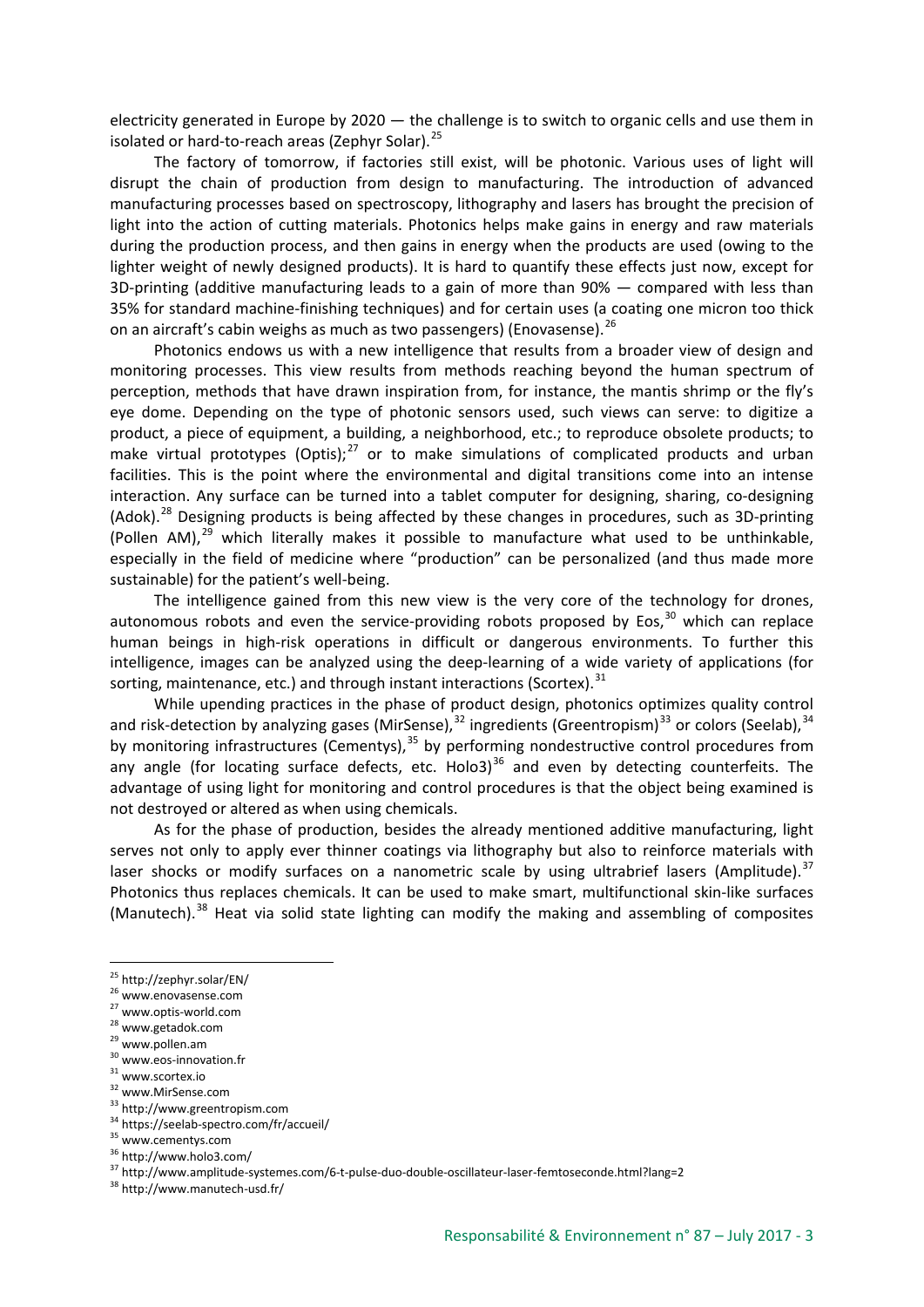electricity generated in Europe by 2020 — the challenge is to switch to organic cells and use them in isolated or hard-to-reach areas (Zephyr Solar).<sup>[25](#page-2-0)</sup>

The factory of tomorrow, if factories still exist, will be photonic. Various uses of light will disrupt the chain of production from design to manufacturing. The introduction of advanced manufacturing processes based on spectroscopy, lithography and lasers has brought the precision of light into the action of cutting materials. Photonics helps make gains in energy and raw materials during the production process, and then gains in energy when the products are used (owing to the lighter weight of newly designed products). It is hard to quantify these effects just now, except for 3D-printing (additive manufacturing leads to a gain of more than 90% — compared with less than 35% for standard machine-finishing techniques) and for certain uses (a coating one micron too thick on an aircraft's cabin weighs as much as two passengers) (Enovasense). <sup>[26](#page-2-1)</sup>

Photonics endows us with a new intelligence that results from a broader view of design and monitoring processes. This view results from methods reaching beyond the human spectrum of perception, methods that have drawn inspiration from, for instance, the mantis shrimp or the fly's eye dome. Depending on the type of photonic sensors used, such views can serve: to digitize a product, a piece of equipment, a building, a neighborhood, etc.; to reproduce obsolete products; to make virtual prototypes (Optis); $^{27}$  $^{27}$  $^{27}$  or to make simulations of complicated products and urban facilities. This is the point where the environmental and digital transitions come into an intense interaction. Any surface can be turned into a tablet computer for designing, sharing, co-designing (Adok).<sup>[28](#page-2-3)</sup> Designing products is being affected by these changes in procedures, such as 3D-printing (Pollen AM), $^{29}$  $^{29}$  $^{29}$  which literally makes it possible to manufacture what used to be unthinkable, especially in the field of medicine where "production" can be personalized (and thus made more sustainable) for the patient's well-being.

The intelligence gained from this new view is the very core of the technology for drones, autonomous robots and even the service-providing robots proposed by Eos.<sup>[30](#page-2-5)</sup> which can replace human beings in high-risk operations in difficult or dangerous environments. To further this intelligence, images can be analyzed using the deep-learning of a wide variety of applications (for sorting, maintenance, etc.) and through instant interactions (Scortex).<sup>[31](#page-2-6)</sup>

While upending practices in the phase of product design, photonics optimizes quality control and risk-detection by analyzing gases (MirSense),  $32$  ingredients (Greentropism)<sup>[33](#page-2-8)</sup> or colors (Seelab),  $34$ by monitoring infrastructures (Cementys),<sup>[35](#page-2-10)</sup> by performing nondestructive control procedures from any angle (for locating surface defects, etc. Holo3) $36$  and even by detecting counterfeits. The advantage of using light for monitoring and control procedures is that the object being examined is not destroyed or altered as when using chemicals.

As for the phase of production, besides the already mentioned additive manufacturing, light serves not only to apply ever thinner coatings via lithography but also to reinforce materials with laser shocks or modify surfaces on a nanometric scale by using ultrabrief lasers (Amplitude).<sup>[37](#page-2-12)</sup> Photonics thus replaces chemicals. It can be used to make smart, multifunctional skin-like surfaces (Manutech).<sup>[38](#page-2-13)</sup> Heat via solid state lighting can modify the making and assembling of composites

<span id="page-2-0"></span> $^{25}$  http://zephyr.solar/EN/<br> $^{26}$  www.enovasense.com

<span id="page-2-1"></span>

<span id="page-2-2"></span><sup>27</sup> www.optis-world.com

<span id="page-2-3"></span><sup>28</sup> www.getadok.com

<span id="page-2-4"></span><sup>29</sup> www.pollen.am

<span id="page-2-5"></span><sup>30</sup> www.eos-innovation.fr

<span id="page-2-6"></span><sup>31</sup> www.scortex.io <sup>32</sup> www.MirSense.com

<span id="page-2-8"></span><span id="page-2-7"></span><sup>33</sup> http://www.greentropism.com

<sup>34</sup> https://seelab-spectro.com/fr/accueil/

<span id="page-2-9"></span><sup>&</sup>lt;sup>35</sup> www.cementys.com

<span id="page-2-11"></span><span id="page-2-10"></span><sup>36</sup> http://www.holo3.com/

<span id="page-2-12"></span> $37 \text{ http://www.amplitude-systemes.com/6-t-pulse-duo-double-oscillator-laser-femtoseconde.html?lang=2 }$ <br> $38 \text{ http://www.manutech-usd.fr/}$ 

<span id="page-2-13"></span>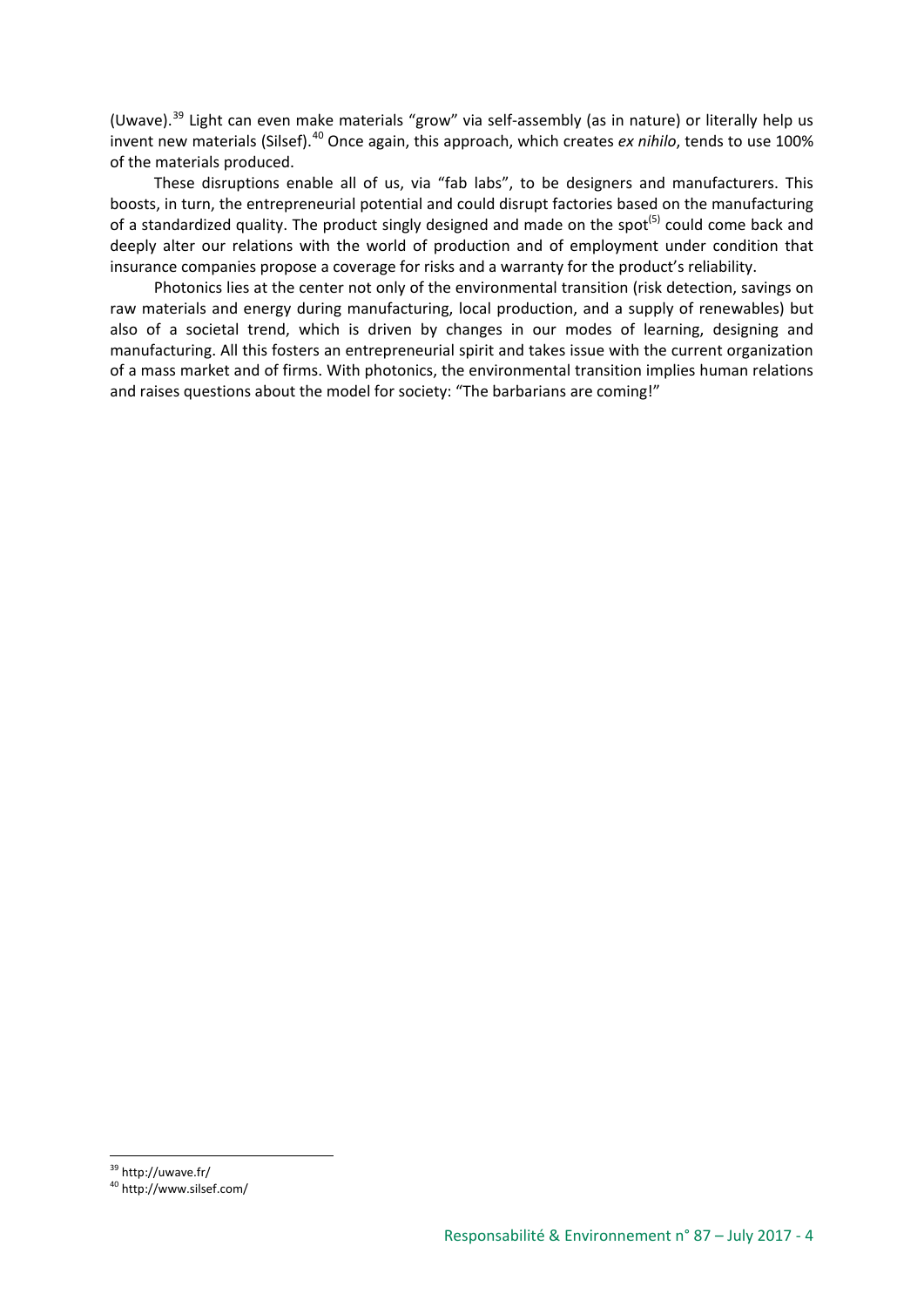(Uwave).[39](#page-3-0) Light can even make materials "grow" via self-assembly (as in nature) or literally help us invent new materials (Silsef).<sup>[40](#page-3-1)</sup> Once again, this approach, which creates *ex nihilo*, tends to use 100% of the materials produced.

These disruptions enable all of us, via "fab labs", to be designers and manufacturers. This boosts, in turn, the entrepreneurial potential and could disrupt factories based on the manufacturing of a standardized quality. The product singly designed and made on the spot<sup>(5)</sup> could come back and deeply alter our relations with the world of production and of employment under condition that insurance companies propose a coverage for risks and a warranty for the product's reliability.

Photonics lies at the center not only of the environmental transition (risk detection, savings on raw materials and energy during manufacturing, local production, and a supply of renewables) but also of a societal trend, which is driven by changes in our modes of learning, designing and manufacturing. All this fosters an entrepreneurial spirit and takes issue with the current organization of a mass market and of firms. With photonics, the environmental transition implies human relations and raises questions about the model for society: "The barbarians are coming!"

<span id="page-3-1"></span><span id="page-3-0"></span> $39$  http://uwave.fr/<br> $40$  http://www.silsef.com/